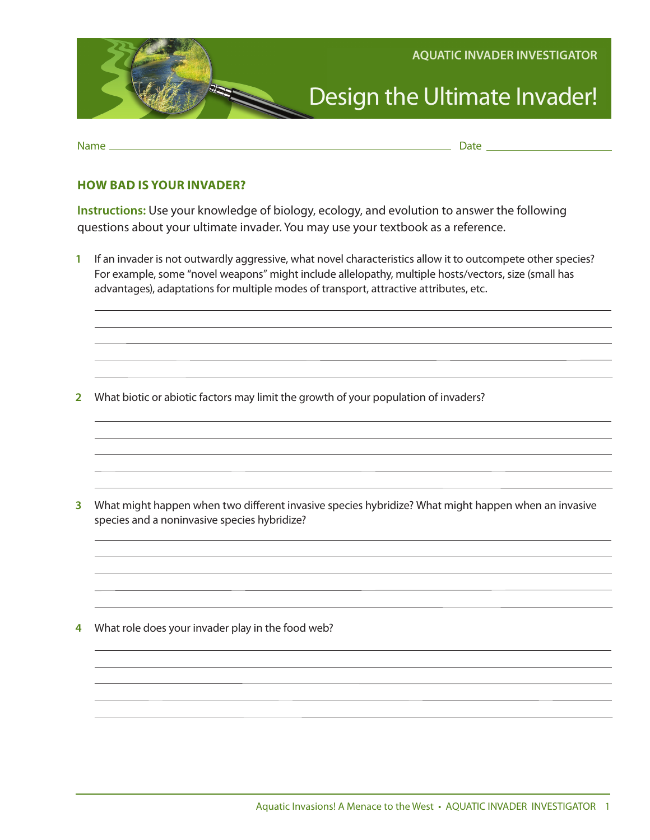

Name Date

## **HOW BAD IS YOUR INVADER?**

**Instructions:** Use your knowledge of biology, ecology, and evolution to answer the following questions about your ultimate invader. You may use your textbook as a reference.

**1** If an invader is not outwardly aggressive, what novel characteristics allow it to outcompete other species? For example, some "novel weapons" might include allelopathy, multiple hosts/vectors, size (small has advantages), adaptations for multiple modes of transport, attractive attributes, etc.

**2** What biotic or abiotic factors may limit the growth of your population of invaders?

**3** What might happen when two different invasive species hybridize? What might happen when an invasive species and a noninvasive species hybridize?

**4** What role does your invader play in the food web?